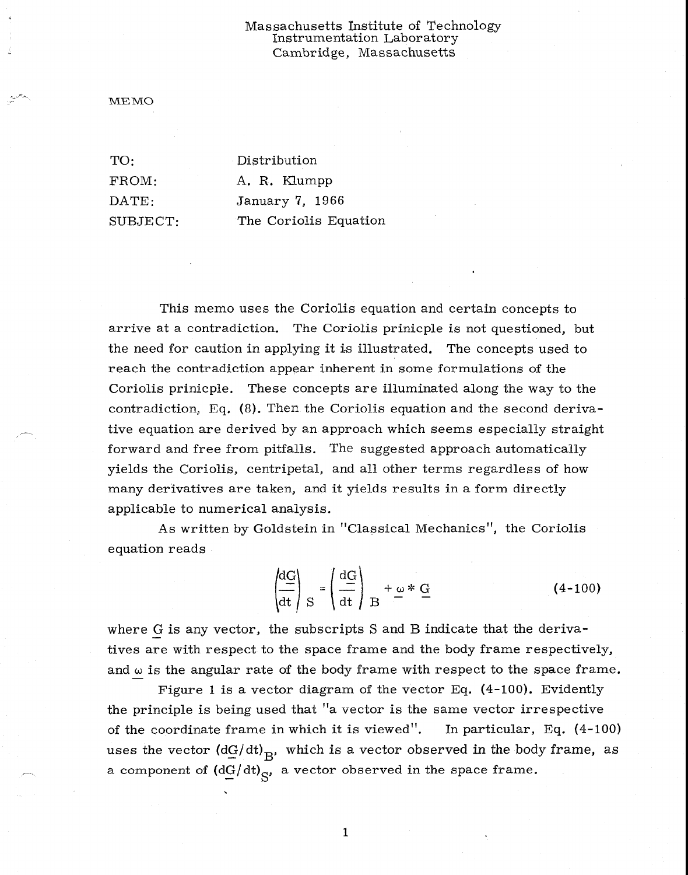## Massachusetts Institute of Technology Instrumentation Laboratory Cambridge, Massachusetts

ME MO

TO: Distribution FROM: A. R. Klumpp DATE: January 7, 1966 SUBJECT: The Coriolis Equation

This memo uses the Coriolis equation and certain concepts to arrive at a contradiction. The Coriolis prinicple is not questioned, but the need for caution in applying it is illustrated. The concepts used to reach the contradiction appear inherent in some formulations of the Coriolis prinicple. These concepts are illuminated along the way to the contradiction, Eq. (8). Then the Coriolis equation and the second derivative equation are derived by an approach which seems especially straight forward and free from pitfalls. The suggested approach automatically yields the Coriolis, centripetal, and all other terms regardless of how many derivatives are taken, and it yields results in a form directly applicable to numerical analysis.

As written by Goldstein in "Classical Mechanics", the Coriolis equation reads

$$
\left(\frac{dG}{dt}\right)_{S} = \left(\frac{dG}{dt}\right)_{B} + \omega * G \tag{4-100}
$$

where G is any vector, the subscripts S and B indicate that the derivatives are with respect to the space frame and the body frame respectively, and  $\omega$  is the angular rate of the body frame with respect to the space frame.

Figure 1 is a vector diagram of the vector Eq. (4-100). Evidently the principle is being used that "a vector is the same vector irrespective of the coordinate frame in which it is viewed". In particular, Eq. (4-100) uses the vector  $(dG/dt)_{B}$ , which is a vector observed in the body frame, as a component of  $(d\underline{G}/dt)_{S'}$ , a vector observed in the space frame.

1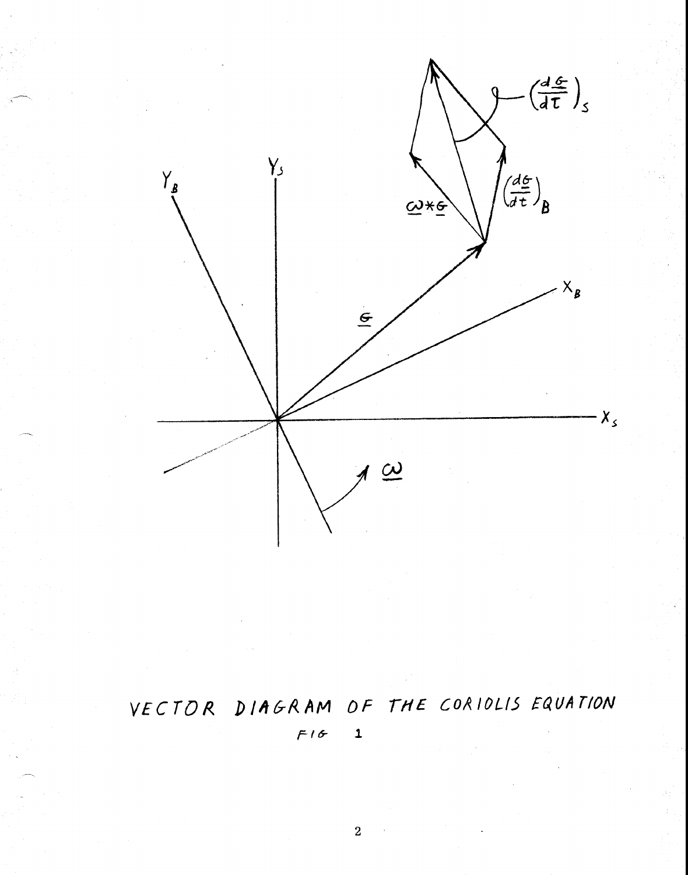

## VECTOR DIAGRAM OF THE CORIOLIS EQUATION  $F16$  $\mathbf{1}$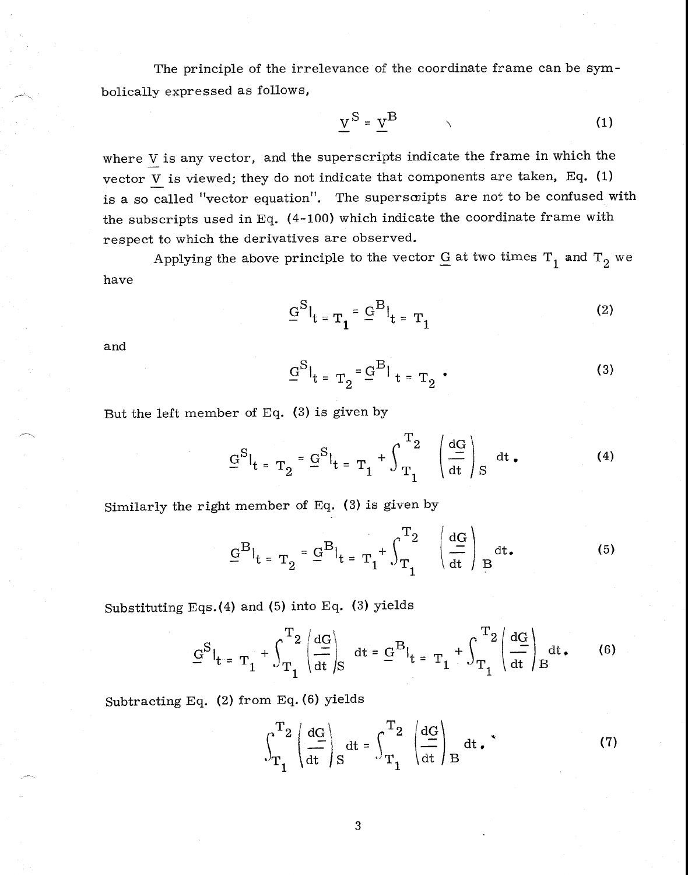The principle of the irrelevance of the coordinate frame can be symbolically expressed as follows,

$$
\underline{V}^{\mathbf{S}} = \underline{V}^{\mathbf{B}}
$$
 (1)

where V is any vector, and the superscripts indicate the frame in which the vector  $\underline{V}$  is viewed; they do not indicate that components are taken, Eq. (1) is a so called "vector equation". The superscripts are not to be confused with the subscripts used in Eq. (4-100) which indicate the coordinate frame with respect to which the derivatives are observed.

Applying the above principle to the vector  $\underline{G}$  at two times  $\mathrm{T}_1$  and  $\mathrm{T}_2$  we have

$$
\underline{G}^{\mathrm{S}}|_{t} = \mathrm{T}_{1} \cdot \underline{G}^{\mathrm{B}}|_{t} = \mathrm{T}_{1} \tag{2}
$$

and

$$
\underline{G}^{\mathrm{S}}|_{t = T_2} = \underline{G}^{\mathrm{B}}|_{t = T_2} \tag{3}
$$

But the left member of Eq. (3) is given by

$$
\underline{G}^{S}|_{t = T_2} = \underline{G}^{S}|_{t = T_1} + \int_{T_1}^{T_2} \left( \frac{dG}{dt} \right)_{S} dt. \tag{4}
$$

Similarly the right member of Eq. (3) is given by

$$
\underline{G}^{B}|_{t = T_2} = \underline{G}^{B}|_{t = T_1} + \int_{T_1}^{T_2} \left(\frac{dG}{dt}\right)_{B} dt.
$$
 (5)

Substituting Eqs.(4) and (5) into Eq. (3) yields

$$
\underline{G}^{S}|_{t} = T_1 + \int_{T_1}^{T_2} \left( \frac{dG}{dt} \right)_{S} dt = \underline{G}^{B}|_{t} = T_1 + \int_{T_1}^{T_2} \left( \frac{dG}{dt} \right)_{B} dt. \tag{6}
$$

Subtracting Eq. (2) from Eq. (6) yields

$$
\int_{T_1}^{T_2} \left( \frac{dG}{dt} \right)_S dt = \int_{T_1}^{T_2} \left( \frac{dG}{dt} \right)_B dt. \tag{7}
$$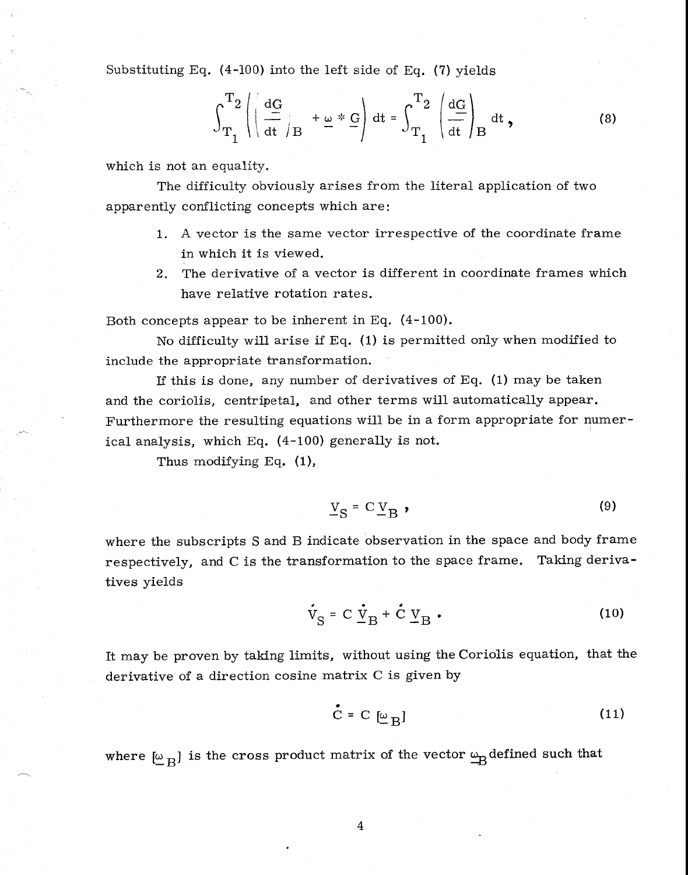Substituting Eq. (4-100) into the left side of Eq. (7) yields

$$
\int_{T_1}^{T_2} \left( \left( \frac{dG}{dt} \right)_B + \underline{\omega} * \underline{G} \right) dt = \int_{T_1}^{T_2} \left( \frac{dG}{dt} \right)_B dt , \qquad (8)
$$

which is not an equality.

The difficulty obviously arises from the literal application of two apparently conflicting concepts which are:

- 1. A vector is the same vector irrespective of the coordinate frame in which it is viewed.
- 2. The derivative of a vector is different in coordinate frames which have relative rotation rates.

Both concepts appear to be inherent in Eq. (4-100).

No difficulty will arise if Eq. (1) is permitted only when modified to include the appropriate transformation.

If this is done, any number of derivatives of Eq. (1) may be taken and the coriolis, centripetal, and other terms will automatically appear. Furthermore the resulting equations will be in a form appropriate for numerical analysis, which Eq. (4-100) generally is not.

Thus modifying Eq. (1),

$$
V_S = C V_B \tag{9}
$$

where the subscripts S and B indicate observation in the space and body frame respectively, and C is the transformation to the space frame. Taking derivatives yields

$$
\dot{V}_{S} = C \dot{V}_{B} + \dot{C} V_{B} \tag{10}
$$

It may be proven by taking limits, without using the Coriolis equation, that the derivative of a direction cosine matrix C is given by

$$
\mathbf{C} = \mathbf{C} \left[ \underline{\omega}_{\mathbf{B}} \right] \tag{11}
$$

where  $[\omega_B]$  is the cross product matrix of the vector  $\omega_B$  defined such that